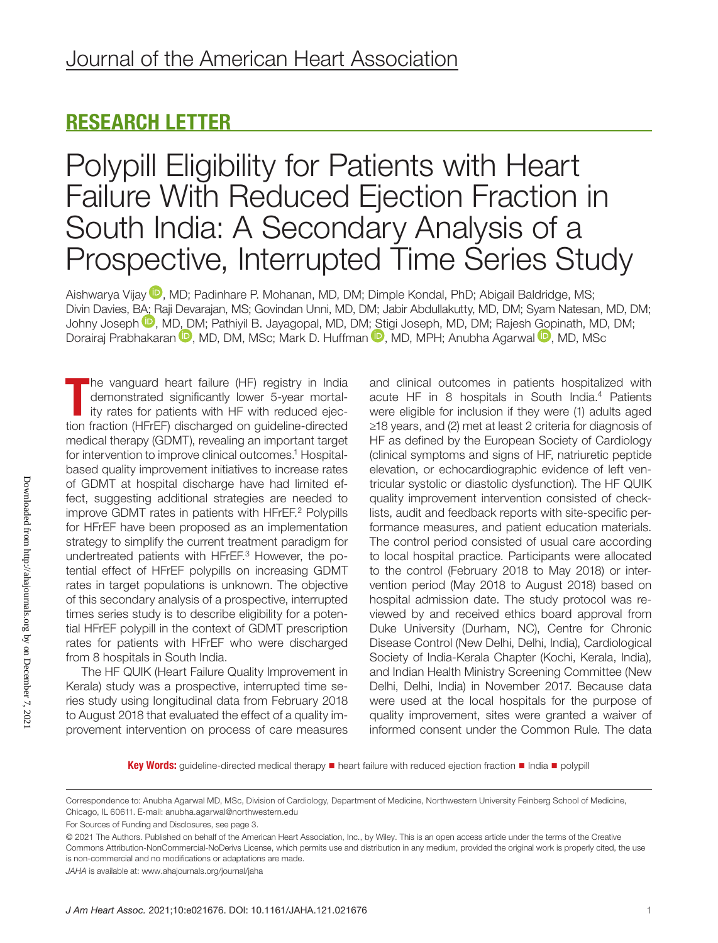# RESEARCH LETTER

# Polypill Eligibility for Patients with Heart Failure With Reduced Ejection Fraction in South India: A Secondary Analysis of a Prospective, Interrupted Time Series Study

Aishwarya Vijay <sup>D</sup>[,](https://orcid.org/0000-0001-6103-208X) MD; Padinhare P. Mohanan, MD, DM; Dimple Kondal, PhD; Abigail Baldridge, MS; Divin Davies, [BA; R](https://orcid.org/0000-0003-1855-9702)aji Devarajan, MS; Govindan Unni, MD, DM; Jabir Abdullakutty, MD, DM; Syam Natesan, MD, DM; Johny Joseph <sup>D</sup>, M[D, D](https://orcid.org/0000-0002-3172-834X)M; Pathiyil B. Jayagopal, MD, DM[; Sti](https://orcid.org/0000-0001-7412-2519)gi Joseph, MD, DM; Rajesh [Gop](https://orcid.org/0000-0002-7090-5601)inath, MD, DM; Dorairaj Prabhakaran <sup>(D</sup>, MD, DM, MSc; Mark D. Huffman <sup>(D</sup>, MD, MPH; Anubha Agarwal <sup>(D</sup>, MD, MSc

The vanguard heart failure (HF) registry in India<br>demonstrated significantly lower 5-year mortal-<br>ity rates for patients with HF with reduced ejec-<br>tion fraction (HFrEF) discharged on guideline-directed he vanguard heart failure (HF) registry in India demonstrated significantly lower 5-year mortality rates for patients with HF with reduced ejecmedical therapy (GDMT), revealing an important target for intervention to improve clinical outcomes.<sup>1</sup> Hospitalbased quality improvement initiatives to increase rates of GDMT at hospital discharge have had limited effect, suggesting additional strategies are needed to improve GDMT rates in patients with HFrEF.<sup>2</sup> Polypills for HFrEF have been proposed as an implementation strategy to simplify the current treatment paradigm for undertreated patients with HFrEF.<sup>3</sup> However, the potential effect of HFrEF polypills on increasing GDMT rates in target populations is unknown. The objective of this secondary analysis of a prospective, interrupted times series study is to describe eligibility for a potential HFrEF polypill in the context of GDMT prescription rates for patients with HFrEF who were discharged from 8 hospitals in South India.

The HF QUIK (Heart Failure Quality Improvement in Kerala) study was a prospective, interrupted time series study using longitudinal data from February 2018 to August 2018 that evaluated the effect of a quality improvement intervention on process of care measures and clinical outcomes in patients hospitalized with acute HF in 8 hospitals in South India.4 Patients were eligible for inclusion if they were (1) adults aged ≥18 years, and (2) met at least 2 criteria for diagnosis of HF as defined by the European Society of Cardiology (clinical symptoms and signs of HF, natriuretic peptide elevation, or echocardiographic evidence of left ventricular systolic or diastolic dysfunction). The HF QUIK quality improvement intervention consisted of checklists, audit and feedback reports with site-specific performance measures, and patient education materials. The control period consisted of usual care according to local hospital practice. Participants were allocated to the control (February 2018 to May 2018) or intervention period (May 2018 to August 2018) based on hospital admission date. The study protocol was reviewed by and received ethics board approval from Duke University (Durham, NC), Centre for Chronic Disease Control (New Delhi, Delhi, India), Cardiological Society of India-Kerala Chapter (Kochi, Kerala, India), and Indian Health Ministry Screening Committee (New Delhi, Delhi, India) in November 2017. Because data were used at the local hospitals for the purpose of quality improvement, sites were granted a waiver of informed consent under the Common Rule. The data

Key Words: guideline-directed medical therapy ■ heart failure with reduced ejection fraction ■ India ■ polypill

Correspondence to: Anubha Agarwal MD, MSc, Division of Cardiology, Department of Medicine, Northwestern University Feinberg School of Medicine, Chicago, IL 60611. E-mail: [anubha.agarwal@northwestern.edu](mailto:anubha.agarwal@northwestern.edu)

For Sources of Funding and Disclosures, see page 3.

<sup>© 2021</sup> The Authors. Published on behalf of the American Heart Association, Inc., by Wiley. This is an open access article under the terms of the [Creative](http://creativecommons.org/licenses/by-nc-nd/4.0/)  [Commons Attribution-NonCommercial-NoDerivs](http://creativecommons.org/licenses/by-nc-nd/4.0/) License, which permits use and distribution in any medium, provided the original work is properly cited, the use is non-commercial and no modifications or adaptations are made.

*JAHA* is available at: [www.ahajournals.org/journal/jaha](https://www.ahajournals.org/journal/jaha)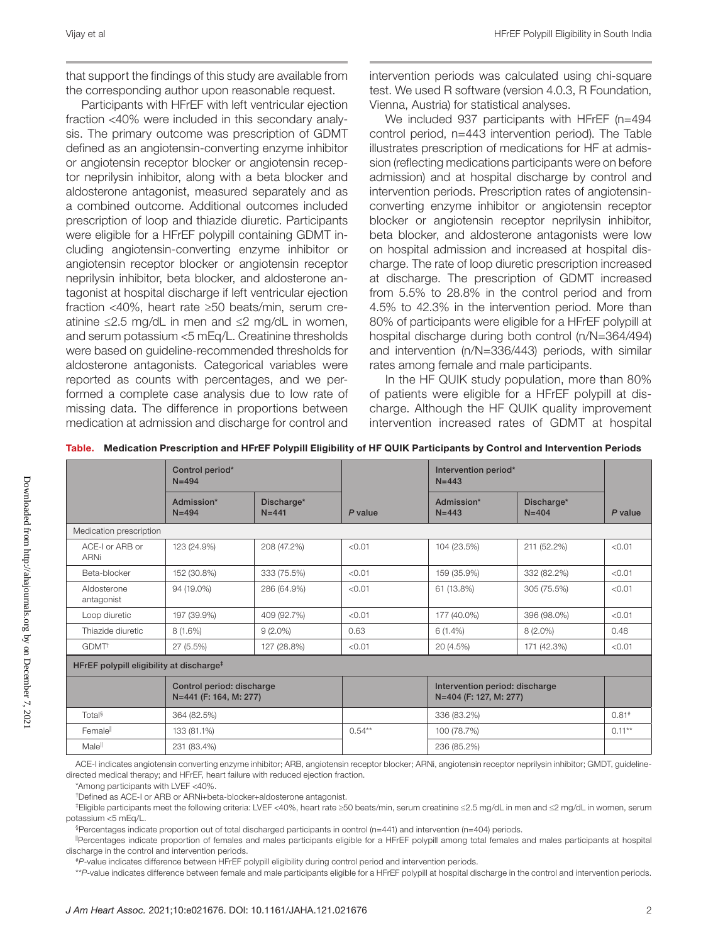that support the findings of this study are available from the corresponding author upon reasonable request.

Participants with HFrEF with left ventricular ejection fraction <40% were included in this secondary analysis. The primary outcome was prescription of GDMT defined as an angiotensin-converting enzyme inhibitor or angiotensin receptor blocker or angiotensin receptor neprilysin inhibitor, along with a beta blocker and aldosterone antagonist, measured separately and as a combined outcome. Additional outcomes included prescription of loop and thiazide diuretic. Participants were eligible for a HFrEF polypill containing GDMT including angiotensin-converting enzyme inhibitor or angiotensin receptor blocker or angiotensin receptor neprilysin inhibitor, beta blocker, and aldosterone antagonist at hospital discharge if left ventricular ejection fraction <40%, heart rate ≥50 beats/min, serum creatinine ≤2.5 mg/dL in men and ≤2 mg/dL in women, and serum potassium <5 mEq/L. Creatinine thresholds were based on guideline-recommended thresholds for aldosterone antagonists. Categorical variables were reported as counts with percentages, and we performed a complete case analysis due to low rate of missing data. The difference in proportions between medication at admission and discharge for control and intervention periods was calculated using chi-square test. We used R software (version 4.0.3, R Foundation, Vienna, Austria) for statistical analyses.

We included 937 participants with HFrEF (n=494 control period, n=443 intervention period). The Table illustrates prescription of medications for HF at admission (reflecting medications participants were on before admission) and at hospital discharge by control and intervention periods. Prescription rates of angiotensinconverting enzyme inhibitor or angiotensin receptor blocker or angiotensin receptor neprilysin inhibitor, beta blocker, and aldosterone antagonists were low on hospital admission and increased at hospital discharge. The rate of loop diuretic prescription increased at discharge. The prescription of GDMT increased from 5.5% to 28.8% in the control period and from 4.5% to 42.3% in the intervention period. More than 80% of participants were eligible for a HFrEF polypill at hospital discharge during both control (n/N=364/494) and intervention (n/N=336/443) periods, with similar rates among female and male participants.

In the HF QUIK study population, more than 80% of patients were eligible for a HFrEF polypill at discharge. Although the HF QUIK quality improvement intervention increased rates of GDMT at hospital

|                                                      | Control period*<br>$N = 494$                        |                         |         | Intervention period*<br>$N = 443$                                                                                                                            |                                                          |                     |
|------------------------------------------------------|-----------------------------------------------------|-------------------------|---------|--------------------------------------------------------------------------------------------------------------------------------------------------------------|----------------------------------------------------------|---------------------|
|                                                      | Admission*<br>$N = 494$                             | Discharge*<br>$N = 441$ | P value | Admission*<br>$N = 443$                                                                                                                                      | Discharge*<br>$N = 404$                                  | P value             |
| Medication prescription                              |                                                     |                         |         |                                                                                                                                                              |                                                          |                     |
| ACE-I or ARB or<br><b>ARNi</b>                       | 123 (24.9%)                                         | 208 (47.2%)             | < 0.01  | 104 (23.5%)                                                                                                                                                  | 211 (52.2%)                                              | < 0.01              |
| Beta-blocker                                         | 152 (30.8%)                                         | 333 (75.5%)             | < 0.01  | 159 (35.9%)                                                                                                                                                  | 332 (82.2%)                                              | < 0.01              |
| Aldosterone<br>antagonist                            | 94 (19.0%)                                          | 286 (64.9%)             | < 0.01  | 61 (13.8%)                                                                                                                                                   | 305 (75.5%)                                              | < 0.01              |
| Loop diuretic                                        | 197 (39.9%)                                         | 409 (92.7%)             | < 0.01  | 177 (40.0%)                                                                                                                                                  | 396 (98.0%)                                              | < 0.01              |
| Thiazide diuretic                                    | 8(1.6%)                                             | $9(2.0\%)$              | 0.63    | $6(1.4\%)$                                                                                                                                                   | $8(2.0\%)$                                               | 0.48                |
| GDMT <sup>+</sup>                                    | 27 (5.5%)                                           | 127 (28.8%)             | < 0.01  | 20 (4.5%)                                                                                                                                                    | 171 (42.3%)                                              | < 0.01              |
| HFrEF polypill eligibility at discharge <sup>‡</sup> |                                                     |                         |         |                                                                                                                                                              |                                                          |                     |
|                                                      | Control period: discharge<br>N=441 (F: 164, M: 277) |                         |         |                                                                                                                                                              | Intervention period: discharge<br>N=404 (F: 127, M: 277) |                     |
| Total <sup>§</sup>                                   | 364 (82.5%)                                         |                         |         | 336 (83.2%)                                                                                                                                                  |                                                          | $0.81$ <sup>#</sup> |
| Femalell                                             | 133 (81.1%)                                         |                         |         | 100 (78.7%)                                                                                                                                                  |                                                          | $0.11***$           |
| Malell                                               | 231 (83.4%)                                         |                         |         | 236 (85.2%)                                                                                                                                                  |                                                          |                     |
|                                                      |                                                     |                         |         | ACE-Lindicates angiotensin converting enzyme inhibitor: ARB, angiotensin receptor blocker: ARNi, angiotensin receptor neprilysin inhibitor: GMDT, quideline- |                                                          |                     |

|  | Table. Medication Prescription and HFrEF Polypill Eligibility of HF QUIK Participants by Control and Intervention Periods |  |  |  |
|--|---------------------------------------------------------------------------------------------------------------------------|--|--|--|
|--|---------------------------------------------------------------------------------------------------------------------------|--|--|--|

ACE-I indicates angiotensin converting enzyme inhibitor; ARB, angiotensin receptor blocker; ARNi, angiotensin receptor neprilysin inhibitor; GMDT, guidelinedirected medical therapy; and HFrEF, heart failure with reduced ejection fraction.

\*Among participants with LVEF <40%.

†Defined as ACE-I or ARB or ARNi+beta-blocker+aldosterone antagonist.

‡Eligible participants meet the following criteria: LVEF <40%, heart rate ≥50 beats/min, serum creatinine ≤2.5 mg/dL in men and ≤2 mg/dL in women, serum potassium <5 mEq/L.

§Percentages indicate proportion out of total discharged participants in control (n=441) and intervention (n=404) periods.

||Percentages indicate proportion of females and males participants eligible for a HFrEF polypill among total females and males participants at hospital discharge in the control and intervention periods.

#*P*-value indicates difference between HFrEF polypill eligibility during control period and intervention periods.

\*\**P*-value indicates difference between female and male participants eligible for a HFrEF polypill at hospital discharge in the control and intervention periods.